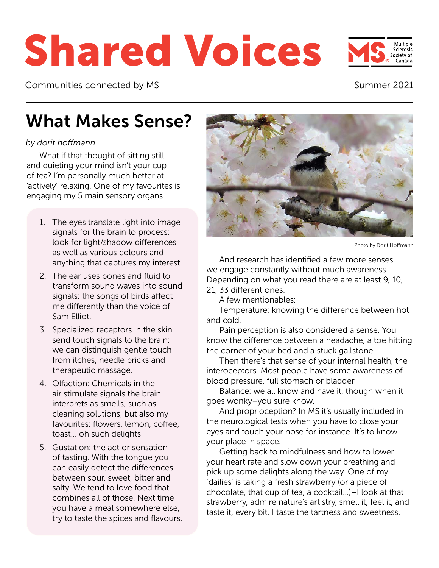# Shared Voices

Communities connected by MS

#### Summer 2021

Sclerosis society of

### What Makes Sense?

#### *by dorit hoffmann*

What if that thought of sitting still and quieting your mind isn't your cup of tea? I'm personally much better at 'actively' relaxing. One of my favourites is engaging my 5 main sensory organs.

- 1. The eyes translate light into image signals for the brain to process: I look for light/shadow differences as well as various colours and anything that captures my interest.
- 2. The ear uses bones and fluid to transform sound waves into sound signals: the songs of birds affect me differently than the voice of Sam Elliot.
- 3. Specialized receptors in the skin send touch signals to the brain: we can distinguish gentle touch from itches, needle pricks and therapeutic massage.
- 4. Olfaction: Chemicals in the air stimulate signals the brain interprets as smells, such as cleaning solutions, but also my favourites: flowers, lemon, coffee, toast… oh such delights
- 5. Gustation: the act or sensation of tasting. With the tongue you can easily detect the differences between sour, sweet, bitter and salty. We tend to love food that combines all of those. Next time you have a meal somewhere else, try to taste the spices and flavours.



Photo by Dorit Hoffmann

And research has identified a few more senses we engage constantly without much awareness. Depending on what you read there are at least 9, 10, 21, 33 different ones.

A few mentionables:

Temperature: knowing the difference between hot and cold.

Pain perception is also considered a sense. You know the difference between a headache, a toe hitting the corner of your bed and a stuck gallstone…

Then there's that sense of your internal health, the interoceptors. Most people have some awareness of blood pressure, full stomach or bladder.

Balance: we all know and have it, though when it goes wonky–you sure know.

And proprioception? In MS it's usually included in the neurological tests when you have to close your eyes and touch your nose for instance. It's to know your place in space.

Getting back to mindfulness and how to lower your heart rate and slow down your breathing and pick up some delights along the way. One of my 'dailies' is taking a fresh strawberry (or a piece of chocolate, that cup of tea, a cocktail…)–I look at that strawberry, admire nature's artistry, smell it, feel it, and taste it, every bit. I taste the tartness and sweetness,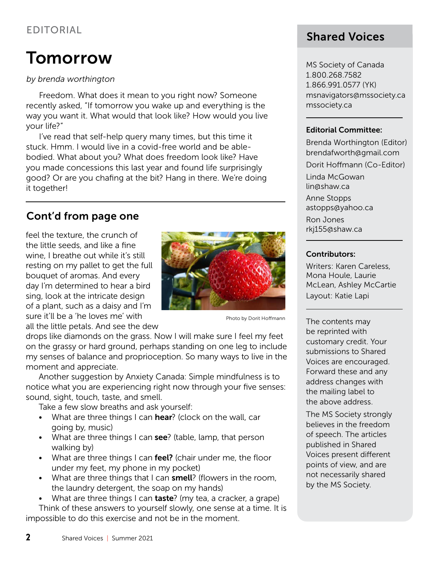#### EDITORIAL

### **Tomorrow**

#### *by brenda worthington*

Freedom. What does it mean to you right now? Someone recently asked, "If tomorrow you wake up and everything is the way you want it. What would that look like? How would you live your life?"

I've read that self-help query many times, but this time it stuck. Hmm. I would live in a covid-free world and be ablebodied. What about you? What does freedom look like? Have you made concessions this last year and found life surprisingly good? Or are you chafing at the bit? Hang in there. We're doing it together!

#### Cont'd from page one

feel the texture, the crunch of the little seeds, and like a fine wine, I breathe out while it's still resting on my pallet to get the full bouquet of aromas. And every day I'm determined to hear a bird sing, look at the intricate design of a plant, such as a daisy and I'm sure it'll be a 'he loves me' with all the little petals. And see the dew



Photo by Dorit Hoffmann

drops like diamonds on the grass. Now I will make sure I feel my feet on the grassy or hard ground, perhaps standing on one leg to include my senses of balance and proprioception. So many ways to live in the moment and appreciate.

Another suggestion by Anxiety Canada: Simple mindfulness is to notice what you are experiencing right now through your five senses: sound, sight, touch, taste, and smell.

Take a few slow breaths and ask yourself:

- What are three things I can hear? (clock on the wall, car going by, music)
- What are three things I can see? (table, lamp, that person walking by)
- What are three things I can feel? (chair under me, the floor under my feet, my phone in my pocket)
- What are three things that I can **smell**? (flowers in the room, the laundry detergent, the soap on my hands)

• What are three things I can taste? (my tea, a cracker, a grape) Think of these answers to yourself slowly, one sense at a time. It is impossible to do this exercise and not be in the moment.

### Shared Voices

MS Society of Canada 1.800.268.7582 1.866.991.0577 (YK) msnavigators@mssociety.ca [mssociety.ca](http://mssociety.ca)

#### Editorial Committee:

Brenda Worthington (Editor) brendafworth@gmail.co[m](mailto:sharedvoices@telus.net )

Dorit Hoffmann (Co-Editor)

Linda McGowan [lin@shaw.ca](mailto:lin@shaw.ca)

Anne Stopps [astopps@yahoo.ca](mailto:astopps%40yahoo.ca?subject=)

Ron Jones [rkj155@shaw.ca](mailto:rkj155%40shaw.ca?subject=)

#### Contributors:

Writers: Karen Careless, Mona Houle, Laurie McLean, Ashley McCartie Layout: Katie Lapi

The contents may be reprinted with customary credit. Your submissions to Shared Voices are encouraged. Forward these and any address changes with the mailing label to the above address.

The MS Society strongly believes in the freedom of speech. The articles published in Shared Voices present different points of view, and are not necessarily shared by the MS Society.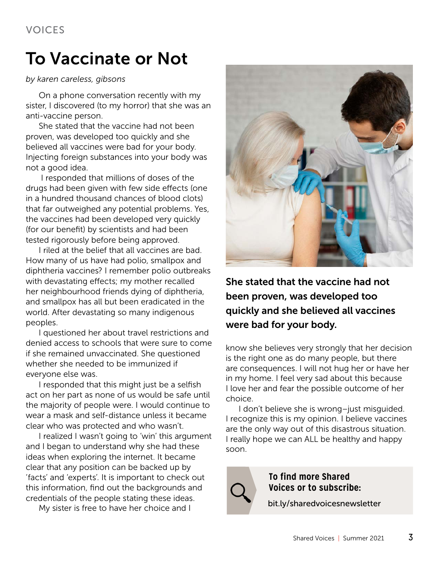### To Vaccinate or Not

#### *by karen careless, gibsons*

On a phone conversation recently with my sister, I discovered (to my horror) that she was an anti-vaccine person.

She stated that the vaccine had not been proven, was developed too quickly and she believed all vaccines were bad for your body. Injecting foreign substances into your body was not a good idea.

 I responded that millions of doses of the drugs had been given with few side effects (one in a hundred thousand chances of blood clots) that far outweighed any potential problems. Yes, the vaccines had been developed very quickly (for our benefit) by scientists and had been tested rigorously before being approved.

I riled at the belief that all vaccines are bad. How many of us have had polio, smallpox and diphtheria vaccines? I remember polio outbreaks with devastating effects; my mother recalled her neighbourhood friends dying of diphtheria, and smallpox has all but been eradicated in the world. After devastating so many indigenous peoples.

I questioned her about travel restrictions and denied access to schools that were sure to come if she remained unvaccinated. She questioned whether she needed to be immunized if everyone else was.

I responded that this might just be a selfish act on her part as none of us would be safe until the majority of people were. I would continue to wear a mask and self-distance unless it became clear who was protected and who wasn't.

I realized I wasn't going to 'win' this argument and I began to understand why she had these ideas when exploring the internet. It became clear that any position can be backed up by 'facts' and 'experts'. It is important to check out this information, find out the backgrounds and credentials of the people stating these ideas.

My sister is free to have her choice and I



She stated that the vaccine had not been proven, was developed too quickly and she believed all vaccines were bad for your body.

know she believes very strongly that her decision is the right one as do many people, but there are consequences. I will not hug her or have her in my home. I feel very sad about this because I love her and fear the possible outcome of her choice.

I don't believe she is wrong–just misguided. I recognize this is my opinion. I believe vaccines are the only way out of this disastrous situation. I really hope we can ALL be healthy and happy soon.



**To find more Shared Voices or to subscribe:**

[bit.ly/sharedvoicesnewsletter](http://bit.ly/sharedvoicesnewsletter)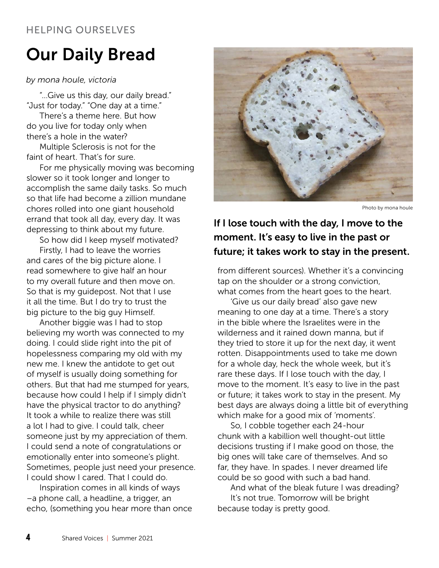#### HELPING OURSELVES

### Our Daily Bread

#### *by mona houle, victoria*

"…Give us this day, our daily bread." "Just for today." "One day at a time."

There's a theme here. But how do you live for today only when there's a hole in the water?

Multiple Sclerosis is not for the faint of heart. That's for sure.

For me physically moving was becoming slower so it took longer and longer to accomplish the same daily tasks. So much so that life had become a zillion mundane chores rolled into one giant household errand that took all day, every day. It was depressing to think about my future.

So how did I keep myself motivated?

Firstly, I had to leave the worries and cares of the big picture alone. I read somewhere to give half an hour to my overall future and then move on. So that is my guidepost. Not that I use it all the time. But I do try to trust the big picture to the big guy Himself.

Another biggie was I had to stop believing my worth was connected to my doing. I could slide right into the pit of hopelessness comparing my old with my new me. I knew the antidote to get out of myself is usually doing something for others. But that had me stumped for years, because how could I help if I simply didn't have the physical tractor to do anything? It took a while to realize there was still a lot I had to give. I could talk, cheer someone just by my appreciation of them. I could send a note of congratulations or emotionally enter into someone's plight. Sometimes, people just need your presence. I could show I cared. That I could do.

Inspiration comes in all kinds of ways –a phone call, a headline, a trigger, an echo, (something you hear more than once



Photo by mona houle

#### If I lose touch with the day, I move to the moment. It's easy to live in the past or future; it takes work to stay in the present.

from different sources). Whether it's a convincing tap on the shoulder or a strong conviction, what comes from the heart goes to the heart.

'Give us our daily bread' also gave new meaning to one day at a time. There's a story in the bible where the Israelites were in the wilderness and it rained down manna, but if they tried to store it up for the next day, it went rotten. Disappointments used to take me down for a whole day, heck the whole week, but it's rare these days. If I lose touch with the day, I move to the moment. It's easy to live in the past or future; it takes work to stay in the present. My best days are always doing a little bit of everything which make for a good mix of 'moments'.

So, I cobble together each 24-hour chunk with a kabillion well thought-out little decisions trusting if I make good on those, the big ones will take care of themselves. And so far, they have. In spades. I never dreamed life could be so good with such a bad hand.

And what of the bleak future I was dreading? It's not true. Tomorrow will be bright because today is pretty good.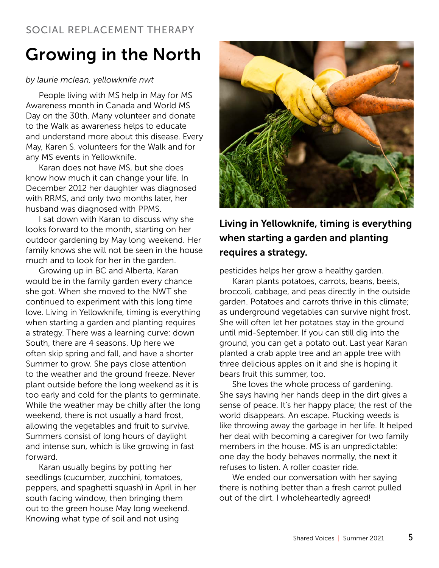### Growing in the North

#### *by laurie mclean, yellowknife nwt*

People living with MS help in May for MS Awareness month in Canada and World MS Day on the 30th. Many volunteer and donate to the Walk as awareness helps to educate and understand more about this disease. Every May, Karen S. volunteers for the Walk and for any MS events in Yellowknife.

Karan does not have MS, but she does know how much it can change your life. In December 2012 her daughter was diagnosed with RRMS, and only two months later, her husband was diagnosed with PPMS.

I sat down with Karan to discuss why she looks forward to the month, starting on her outdoor gardening by May long weekend. Her family knows she will not be seen in the house much and to look for her in the garden.

Growing up in BC and Alberta, Karan would be in the family garden every chance she got. When she moved to the NWT she continued to experiment with this long time love. Living in Yellowknife, timing is everything when starting a garden and planting requires a strategy. There was a learning curve: down South, there are 4 seasons. Up here we often skip spring and fall, and have a shorter Summer to grow. She pays close attention to the weather and the ground freeze. Never plant outside before the long weekend as it is too early and cold for the plants to germinate. While the weather may be chilly after the long weekend, there is not usually a hard frost, allowing the vegetables and fruit to survive. Summers consist of long hours of daylight and intense sun, which is like growing in fast forward.

Karan usually begins by potting her seedlings (cucumber, zucchini, tomatoes, peppers, and spaghetti squash) in April in her south facing window, then bringing them out to the green house May long weekend. Knowing what type of soil and not using



#### Living in Yellowknife, timing is everything when starting a garden and planting requires a strategy.

pesticides helps her grow a healthy garden.

Karan plants potatoes, carrots, beans, beets, broccoli, cabbage, and peas directly in the outside garden. Potatoes and carrots thrive in this climate; as underground vegetables can survive night frost. She will often let her potatoes stay in the ground until mid-September. If you can still dig into the ground, you can get a potato out. Last year Karan planted a crab apple tree and an apple tree with three delicious apples on it and she is hoping it bears fruit this summer, too.

She loves the whole process of gardening. She says having her hands deep in the dirt gives a sense of peace. It's her happy place; the rest of the world disappears. An escape. Plucking weeds is like throwing away the garbage in her life. It helped her deal with becoming a caregiver for two family members in the house. MS is an unpredictable: one day the body behaves normally, the next it refuses to listen. A roller coaster ride.

We ended our conversation with her saying there is nothing better than a fresh carrot pulled out of the dirt. I wholeheartedly agreed!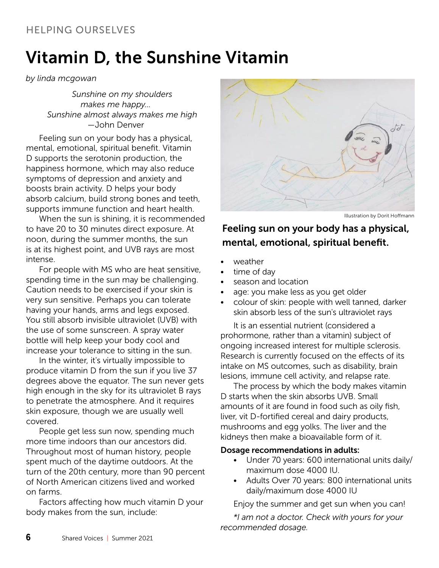## Vitamin D, the Sunshine Vitamin

#### *by linda mcgowan*

*Sunshine on my shoulders makes me happy… Sunshine almost always makes me high* —John Denver

Feeling sun on your body has a physical, mental, emotional, spiritual benefit. Vitamin D supports the serotonin production, the happiness hormone, which may also reduce symptoms of depression and anxiety and boosts brain activity. D helps your body absorb calcium, build strong bones and teeth, supports immune function and heart health.

When the sun is shining, it is recommended to have 20 to 30 minutes direct exposure. At noon, during the summer months, the sun is at its highest point, and UVB rays are most intense.

For people with MS who are heat sensitive, spending time in the sun may be challenging. Caution needs to be exercised if your skin is very sun sensitive. Perhaps you can tolerate having your hands, arms and legs exposed. You still absorb invisible ultraviolet (UVB) with the use of some sunscreen. A spray water bottle will help keep your body cool and increase your tolerance to sitting in the sun.

In the winter, it's virtually impossible to produce vitamin D from the sun if you live 37 degrees above the equator. The sun never gets high enough in the sky for its ultraviolet B rays to penetrate the atmosphere. And it requires skin exposure, though we are usually well covered.

People get less sun now, spending much more time indoors than our ancestors did. Throughout most of human history, people spent much of the daytime outdoors. At the turn of the 20th century, more than 90 percent of North American citizens lived and worked on farms.

Factors affecting how much vitamin D your body makes from the sun, include:



Illustration by Dorit Hoffmann

#### Feeling sun on your body has a physical, mental, emotional, spiritual benefit.

- weather
- time of day
- season and location
- age: you make less as you get older
- colour of skin: people with well tanned, darker skin absorb less of the sun's ultraviolet rays

It is an essential nutrient (considered a prohormone, rather than a vitamin) subject of ongoing increased interest for multiple sclerosis. Research is currently focused on the effects of its intake on MS outcomes, such as disability, brain lesions, immune cell activity, and relapse rate.

The process by which the body makes vitamin D starts when the skin absorbs UVB. Small amounts of it are found in food such as oily fish, liver, vit D-fortified cereal and dairy products, mushrooms and egg yolks. The liver and the kidneys then make a bioavailable form of it.

#### Dosage recommendations in adults:

- Under 70 years: 600 international units daily/ maximum dose 4000 IU.
- Adults Over 70 years: 800 international units daily/maximum dose 4000 IU

Enjoy the summer and get sun when you can!

*\*I am not a doctor. Check with yours for your recommended dosage.*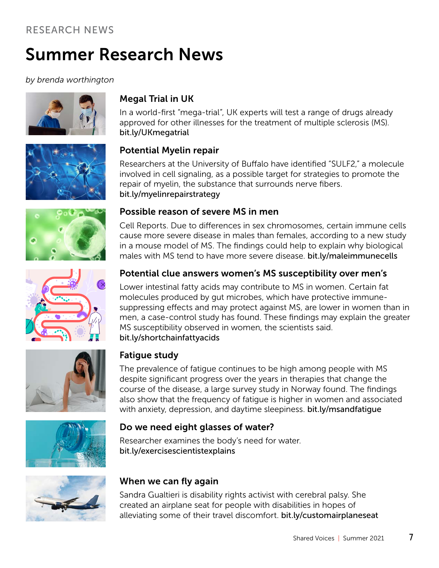### Summer Research News

*by brenda worthington*





### Megal Trial in UK

In a world-first "mega-trial", UK experts will test a range of drugs already approved for other illnesses for the treatment of multiple sclerosis (MS). [bit.ly/UKmegatrial](http://bit.ly/UKmegatrial)

#### Potential Myelin repair

Researchers at the University of Buffalo have identified "SULF2," a molecule involved in cell signaling, as a possible target for strategies to promote the repair of myelin, the substance that surrounds nerve fibers. [bit.ly/myelinrepairstrategy](http://bit.ly/myelinrepairstrategy)

Cell Reports. Due to differences in sex chromosomes, certain immune cells





#### cause more severe disease in males than females, according to a new study in a mouse model of MS. The findings could help to explain why biological

Possible reason of severe MS in men

#### males with MS tend to have more severe disease. [bit.ly/maleimmunecells](http://bit.ly/maleimmunecells) Potential clue answers women's MS susceptibility over men's

Lower intestinal fatty acids may contribute to MS in women. Certain fat molecules produced by gut microbes, which have protective immunesuppressing effects and may protect against MS, are lower in women than in men, a case-control study has found. These findings may explain the greater MS susceptibility observed in women, the scientists said. [bit.ly/shortchainfattyacids](http://bit.ly/shortchainfattyacids)





#### Fatigue study

The prevalence of fatigue continues to be high among people with MS despite significant progress over the years in therapies that change the course of the disease, a large survey study in Norway found. The findings also show that the frequency of fatigue is higher in women and associated with anxiety, depression, and daytime sleepiness. bit.ly/msandfatique

#### Do we need eight glasses of water?

Researcher examines the body's need for water. [bit.ly/exercisescientistexplains](http://bit.ly/exercisescientistexplains)



#### When we can fly again

Sandra Gualtieri is disability rights activist with cerebral palsy. She created an airplane seat for people with disabilities in hopes of alleviating some of their travel discomfort. [bit.ly/customairplaneseat](http://bit.ly/customairplaneseat)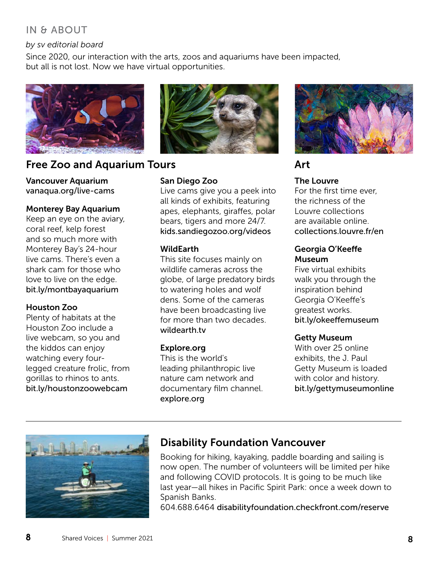#### IN & ABOUT

#### *by sv editorial board*

Since 2020, our interaction with the arts, zoos and aquariums have been impacted, but all is not lost. Now we have virtual opportunities.



#### Free Zoo and Aquarium Tours **Art**

Vancouver Aquarium [vanaqua.org/live-cams](http://vanaqua.org/live-cams )

#### Monterey Bay Aquarium

Keep an eye on the aviary, coral reef, kelp forest and so much more with Monterey Bay's 24-hour live cams. There's even a shark cam for those who love to live on the edge. [bit.ly/montbayaquarium](http://bit.ly/montbayaquarium)

#### Houston Zoo

Plenty of habitats at the Houston Zoo include a live webcam, so you and the kiddos can enjoy watching every fourlegged creature frolic, from gorillas to rhinos to ants. [bit.ly/houstonzoowebcam](http://bit.ly/houstonzoowebcam)



#### San Diego Zoo

Live cams give you a peek into all kinds of exhibits, featuring apes, elephants, giraffes, polar bears, tigers and more 24/7. [kids.sandiegozoo.org/videos](http://kids.sandiegozoo.org/videos)

#### WildEarth

This site focuses mainly on wildlife cameras across the globe, of large predatory birds to watering holes and wolf dens. Some of the cameras have been broadcasting live for more than two decades. [wildearth.tv](http://wildearth.tv)

#### Explore.org

This is the world's leading philanthropic live nature cam network and documentary film channel. [explore.org](http://explore.org)



#### The Louvre

For the first time ever, the richness of the Louvre collections are available online. [collections.louvre.fr/en](http://collections.louvre.fr/en)

#### Georgia O'Keeffe Museum

Five virtual exhibits walk you through the inspiration behind Georgia O'Keeffe's greatest works. [bit.ly/okeeffemuseum](http://bit.ly/okeeffemuseum )

#### Getty Museum

With over 25 online exhibits, the J. Paul Getty Museum is loaded with color and history. [bit.ly/gettymuseumonline](http://bit.ly/gettymuseumonline)



#### Disability Foundation Vancouver

Booking for hiking, kayaking, paddle boarding and sailing is now open. The number of volunteers will be limited per hike and following COVID protocols. It is going to be much like last year—all hikes in Pacific Spirit Park: once a week down to Spanish Banks.

604.688.6464 [disabilityfoundation.checkfront.com/reserve](http://disabilityfoundation.checkfront.com/reserve)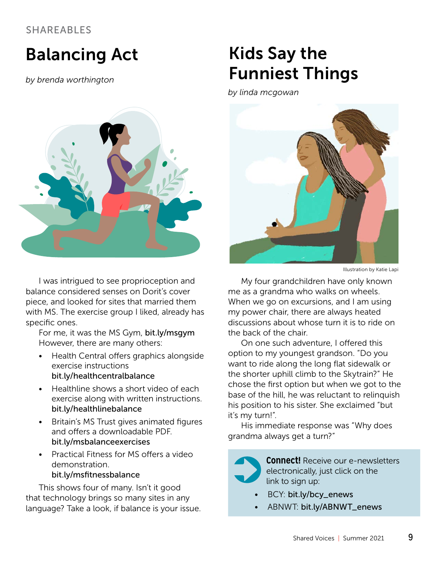### Balancing Act

*by brenda worthington*



I was intrigued to see proprioception and balance considered senses on Dorit's cover piece, and looked for sites that married them with MS. The exercise group I liked, already has specific ones.

For me, it was the MS Gym, [bit.ly/msgym](http://bit.ly/msgym) However, there are many others:

- Health Central offers graphics alongside exercise instructions [bit.ly/healthcentralbalance](http://bit.ly/healthcentralbalance)
- Healthline shows a short video of each exercise along with written instructions. [bit.ly/healthlinebalance](http://bit.ly/healthlinebalance)
- Britain's MS Trust gives animated figures and offers a downloadable PDF. [bit.ly/msbalanceexercises](http://bit.ly/msbalanceexercises)
- Practical Fitness for MS offers a video demonstration. [bit.ly/msfitnessbalance](http://bit.ly/msfitnessbalance)

This shows four of many. Isn't it good that technology brings so many sites in any language? Take a look, if balance is your issue.

## Kids Say the Funniest Things

*by linda mcgowan*



Illustration by Katie Lapi

My four grandchildren have only known me as a grandma who walks on wheels. When we go on excursions, and I am using my power chair, there are always heated discussions about whose turn it is to ride on the back of the chair.

On one such adventure, I offered this option to my youngest grandson. "Do you want to ride along the long flat sidewalk or the shorter uphill climb to the Skytrain?" He chose the first option but when we got to the base of the hill, he was reluctant to relinquish his position to his sister. She exclaimed "but it's my turn!".

His immediate response was "Why does grandma always get a turn?"



**Connect!** Receive our e-newsletters electronically,  just click on the link to sign up:

- BCY: [bit.ly/bcy\\_enews](http://bit.ly/bcy_enews)
- ABNWT: [bit.ly/ABNWT\\_enews](http://bit.ly/ABNWT_enews)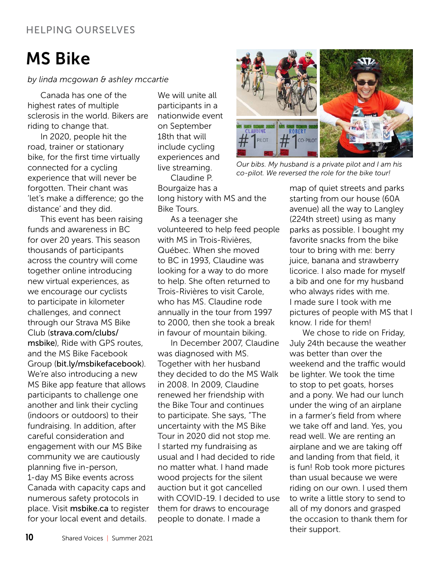## MS Bike

#### *by linda mcgowan & ashley mccartie*

Canada has one of the highest rates of multiple sclerosis in the world. Bikers are riding to change that.

In 2020, people hit the road, trainer or stationary bike, for the first time virtually connected for a cycling experience that will never be forgotten. Their chant was 'let's make a difference; go the distance' and they did.

This event has been raising funds and awareness in BC for over 20 years. This season thousands of participants across the country will come together online introducing new virtual experiences, as we encourage our cyclists to participate in kilometer challenges, and connect through our Strava MS Bike Club ([strava.com/clubs/](http://strava.com/clubs/msbike) [msbike](http://strava.com/clubs/msbike)), Ride with GPS routes. and the MS Bike Facebook Group ([bit.ly/msbikefacebook](http://bit.ly/msbikefacebook)). We're also introducing a new MS Bike app feature that allows participants to challenge one another and link their cycling (indoors or outdoors) to their fundraising. In addition, after careful consideration and engagement with our MS Bike community we are cautiously planning five in-person, 1-day MS Bike events across Canada with capacity caps and numerous safety protocols in place. Visit [msbike.ca](http://msbike.ca) to register for your local event and details.

We will unite all participants in a nationwide event on September 18th that will include cycling experiences and live streaming.

Claudine P. Bourgaize has a long history with MS and the Bike Tours.

As a teenager she volunteered to help feed people with MS in Trois-Rivières, Québec. When she moved to BC in 1993, Claudine was looking for a way to do more to help. She often returned to Trois-Rivières to visit Carole, who has MS. Claudine rode annually in the tour from 1997 to 2000, then she took a break in favour of mountain biking.

In December 2007, Claudine was diagnosed with MS. Together with her husband they decided to do the MS Walk in 2008. In 2009, Claudine renewed her friendship with the Bike Tour and continues to participate. She says, "The uncertainty with the MS Bike Tour in 2020 did not stop me. I started my fundraising as usual and I had decided to ride no matter what. I hand made wood projects for the silent auction but it got cancelled with COVID-19. I decided to use them for draws to encourage people to donate. I made a



*Our bibs. My husband is a private pilot and I am his co-pilot. We reversed the role for the bike tour!*

map of quiet streets and parks starting from our house (60A avenue) all the way to Langley (224th street) using as many parks as possible. I bought my favorite snacks from the bike tour to bring with me: berry juice, banana and strawberry licorice. I also made for myself a bib and one for my husband who always rides with me. I made sure I took with me pictures of people with MS that I know. I ride for them!

We chose to ride on Friday, July 24th because the weather was better than over the weekend and the traffic would be lighter. We took the time to stop to pet goats, horses and a pony. We had our lunch under the wing of an airplane in a farmer's field from where we take off and land. Yes, you read well. We are renting an airplane and we are taking off and landing from that field, it is fun! Rob took more pictures than usual because we were riding on our own. I used them to write a little story to send to all of my donors and grasped the occasion to thank them for their support.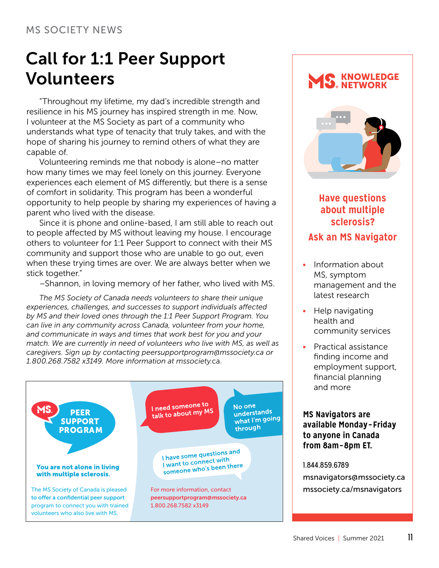#### MS SOCIETY NEWS

### Call for 1:1 Peer Support Volunteers

"Throughout my lifetime, my dad's incredible strength and resilience in his MS journey has inspired strength in me. Now, I volunteer at the MS Society as part of a community who understands what type of tenacity that truly takes, and with the hope of sharing his journey to remind others of what they are capable of.

Volunteering reminds me that nobody is alone–no matter how many times we may feel lonely on this journey. Everyone experiences each element of MS differently, but there is a sense of comfort in solidarity. This program has been a wonderful opportunity to help people by sharing my experiences of having a parent who lived with the disease.

Since it is phone and online-based, I am still able to reach out to people affected by MS without leaving my house. I encourage others to volunteer for 1:1 Peer Support to connect with their MS community and support those who are unable to go out, even when these trying times are over. We are always better when we stick together."

–Shannon, in loving memory of her father, who lived with MS.

*The MS Society of Canada needs volunteers to share their unique experiences, challenges, and successes to support individuals affected by MS and their loved ones through the 1:1 Peer Support Program. You can live in any community across Canada, volunteer from your home, and communicate in ways and times that work best for you and your match. We are currently in need of volunteers who live with MS, as well as caregivers. Sign up by contacting peersupportprogram@mssociety.ca or 1.800.268.7582 x3149. More information at mssociety.*ca.



#### KNOWLEDGE NETWORK



#### **Have questions about multiple sclerosis? Ask an MS Navigator**

#### • Information about MS, symptom management and the latest research

- Help navigating health and community services
- Practical assistance finding income and employment support, financial planning and more

#### **MS Navigators are available Monday– Friday to anyone in Canada from 8am–8pm ET.**

#### 1.844.859.6789

[msnavigators@mssociety.ca](mailto:msnavigators@mssociety.ca) [mssociety.ca/msnavigators](http://mssociety.ca/msnavigators)